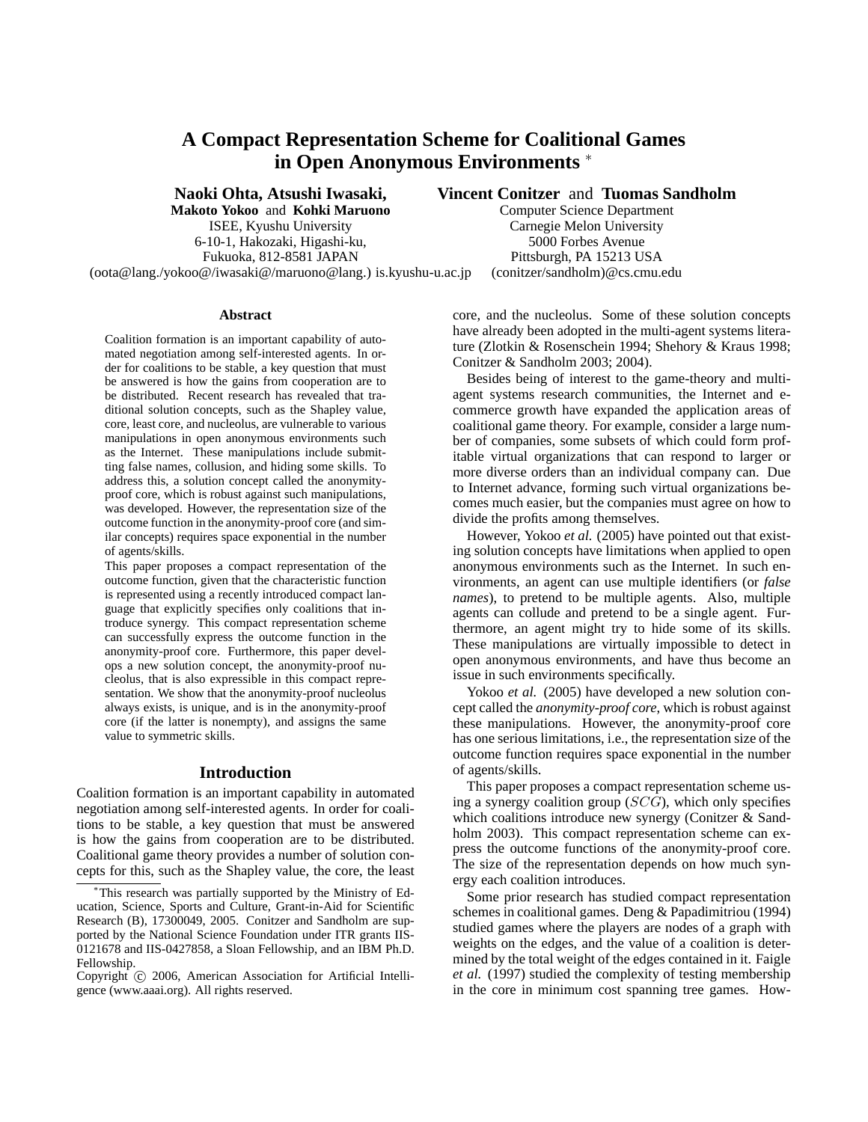# **A Compact Representation Scheme for Coalitional Games in Open Anonymous Environments** <sup>∗</sup>

**Naoki Ohta, Atsushi Iwasaki,**

**Makoto Yokoo** and **Kohki Maruono** ISEE, Kyushu University

6-10-1, Hakozaki, Higashi-ku, Fukuoka, 812-8581 JAPAN

(oota@lang./yokoo@/iwasaki@/maruono@lang.) is.kyushu-u.ac.jp

**Vincent Conitzer** and **Tuomas Sandholm**

Computer Science Department Carnegie Melon University 5000 Forbes Avenue Pittsburgh, PA 15213 USA (conitzer/sandholm)@cs.cmu.edu

#### **Abstract**

Coalition formation is an important capability of automated negotiation among self-interested agents. In order for coalitions to be stable, a key question that must be answered is how the gains from cooperation are to be distributed. Recent research has revealed that traditional solution concepts, such as the Shapley value, core, least core, and nucleolus, are vulnerable to various manipulations in open anonymous environments such as the Internet. These manipulations include submitting false names, collusion, and hiding some skills. To address this, a solution concept called the anonymityproof core, which is robust against such manipulations, was developed. However, the representation size of the outcome function in the anonymity-proof core (and similar concepts) requires space exponential in the number of agents/skills.

This paper proposes a compact representation of the outcome function, given that the characteristic function is represented using a recently introduced compact language that explicitly specifies only coalitions that introduce synergy. This compact representation scheme can successfully express the outcome function in the anonymity-proof core. Furthermore, this paper develops a new solution concept, the anonymity-proof nucleolus, that is also expressible in this compact representation. We show that the anonymity-proof nucleolus always exists, is unique, and is in the anonymity-proof core (if the latter is nonempty), and assigns the same value to symmetric skills.

#### **Introduction**

Coalition formation is an important capability in automated negotiation among self-interested agents. In order for coalitions to be stable, a key question that must be answered is how the gains from cooperation are to be distributed. Coalitional game theory provides a number of solution concepts for this, such as the Shapley value, the core, the least core, and the nucleolus. Some of these solution concepts have already been adopted in the multi-agent systems literature (Zlotkin & Rosenschein 1994; Shehory & Kraus 1998; Conitzer & Sandholm 2003; 2004).

Besides being of interest to the game-theory and multiagent systems research communities, the Internet and ecommerce growth have expanded the application areas of coalitional game theory. For example, consider a large number of companies, some subsets of which could form profitable virtual organizations that can respond to larger or more diverse orders than an individual company can. Due to Internet advance, forming such virtual organizations becomes much easier, but the companies must agree on how to divide the profits among themselves.

However, Yokoo *et al.* (2005) have pointed out that existing solution concepts have limitations when applied to open anonymous environments such as the Internet. In such environments, an agent can use multiple identifiers (or *false names*), to pretend to be multiple agents. Also, multiple agents can collude and pretend to be a single agent. Furthermore, an agent might try to hide some of its skills. These manipulations are virtually impossible to detect in open anonymous environments, and have thus become an issue in such environments specifically.

Yokoo *et al.* (2005) have developed a new solution concept called the *anonymity-proof core*, which is robust against these manipulations. However, the anonymity-proof core has one serious limitations, i.e., the representation size of the outcome function requires space exponential in the number of agents/skills.

This paper proposes a compact representation scheme using a synergy coalition group  $(SCG)$ , which only specifies which coalitions introduce new synergy (Conitzer & Sandholm 2003). This compact representation scheme can express the outcome functions of the anonymity-proof core. The size of the representation depends on how much synergy each coalition introduces.

Some prior research has studied compact representation schemes in coalitional games. Deng & Papadimitriou (1994) studied games where the players are nodes of a graph with weights on the edges, and the value of a coalition is determined by the total weight of the edges contained in it. Faigle *et al.* (1997) studied the complexity of testing membership in the core in minimum cost spanning tree games. How-

<sup>∗</sup>This research was partially supported by the Ministry of Education, Science, Sports and Culture, Grant-in-Aid for Scientific Research (B), 17300049, 2005. Conitzer and Sandholm are supported by the National Science Foundation under ITR grants IIS-0121678 and IIS-0427858, a Sloan Fellowship, and an IBM Ph.D. Fellowship.

Copyright © 2006, American Association for Artificial Intelligence (www.aaai.org). All rights reserved.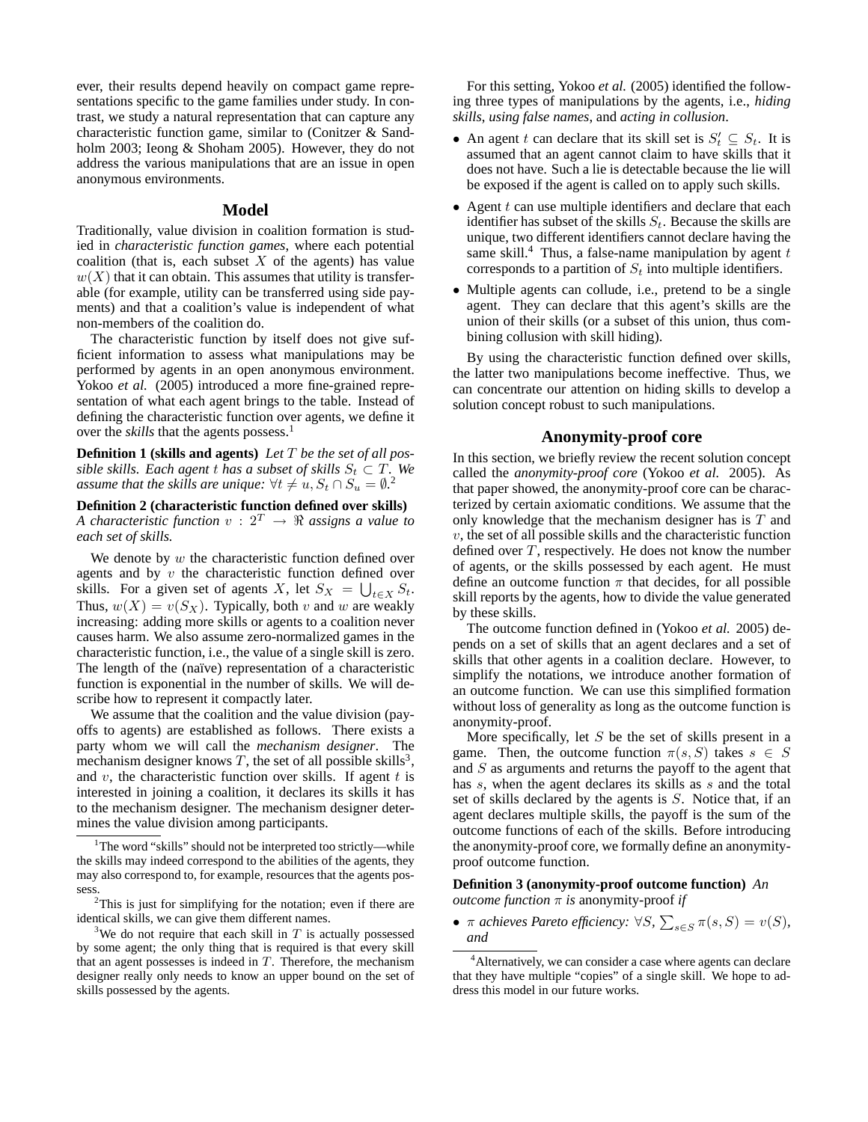ever, their results depend heavily on compact game representations specific to the game families under study. In contrast, we study a natural representation that can capture any characteristic function game, similar to (Conitzer & Sandholm 2003; Ieong & Shoham 2005). However, they do not address the various manipulations that are an issue in open anonymous environments.

## **Model**

Traditionally, value division in coalition formation is studied in *characteristic function games*, where each potential coalition (that is, each subset  $X$  of the agents) has value  $w(X)$  that it can obtain. This assumes that utility is transferable (for example, utility can be transferred using side payments) and that a coalition's value is independent of what non-members of the coalition do.

The characteristic function by itself does not give sufficient information to assess what manipulations may be performed by agents in an open anonymous environment. Yokoo *et al.* (2005) introduced a more fine-grained representation of what each agent brings to the table. Instead of defining the characteristic function over agents, we define it over the *skills* that the agents possess.<sup>1</sup>

**Definition 1 (skills and agents)** *Let* T *be the set of all possible skills. Each agent*  $t$  *has a subset of skills*  $S_t \subset T$ *. We* assume that the skills are unique:  $\forall t \neq u, S_t \cap S_u = \emptyset$ .<sup>2</sup>

**Definition 2 (characteristic function defined over skills)** *A characteristic function*  $v : 2^T \rightarrow \mathbb{R}$  assigns a value to *each set of skills.*

We denote by  $w$  the characteristic function defined over agents and by  $v$  the characteristic function defined over skills. For a given set of agents X, let  $S_X = \bigcup_{t \in X} S_t$ . Thus,  $w(X) = v(S_X)$ . Typically, both v and w are weakly increasing: adding more skills or agents to a coalition never causes harm. We also assume zero-normalized games in the characteristic function, i.e., the value of a single skill is zero. The length of the (naïve) representation of a characteristic function is exponential in the number of skills. We will describe how to represent it compactly later.

We assume that the coalition and the value division (payoffs to agents) are established as follows. There exists a party whom we will call the *mechanism designer*. The mechanism designer knows T, the set of all possible skills<sup>3</sup>, and  $v$ , the characteristic function over skills. If agent  $t$  is interested in joining a coalition, it declares its skills it has to the mechanism designer. The mechanism designer determines the value division among participants.

For this setting, Yokoo *et al.* (2005) identified the following three types of manipulations by the agents, i.e., *hiding skills*, *using false names*, and *acting in collusion*.

- An agent t can declare that its skill set is  $S_t' \subseteq S_t$ . It is assumed that an agent cannot claim to have skills that it does not have. Such a lie is detectable because the lie will be exposed if the agent is called on to apply such skills.
- Agent  $t$  can use multiple identifiers and declare that each identifier has subset of the skills  $S_t$ . Because the skills are unique, two different identifiers cannot declare having the same skill.<sup>4</sup> Thus, a false-name manipulation by agent  $t$ corresponds to a partition of  $S_t$  into multiple identifiers.
- Multiple agents can collude, i.e., pretend to be a single agent. They can declare that this agent's skills are the union of their skills (or a subset of this union, thus combining collusion with skill hiding).

By using the characteristic function defined over skills, the latter two manipulations become ineffective. Thus, we can concentrate our attention on hiding skills to develop a solution concept robust to such manipulations.

## **Anonymity-proof core**

In this section, we briefly review the recent solution concept called the *anonymity-proof core* (Yokoo *et al.* 2005). As that paper showed, the anonymity-proof core can be characterized by certain axiomatic conditions. We assume that the only knowledge that the mechanism designer has is  $T$  and  $v$ , the set of all possible skills and the characteristic function defined over  $T$ , respectively. He does not know the number of agents, or the skills possessed by each agent. He must define an outcome function  $\pi$  that decides, for all possible skill reports by the agents, how to divide the value generated by these skills.

The outcome function defined in (Yokoo *et al.* 2005) depends on a set of skills that an agent declares and a set of skills that other agents in a coalition declare. However, to simplify the notations, we introduce another formation of an outcome function. We can use this simplified formation without loss of generality as long as the outcome function is anonymity-proof.

More specifically, let  $S$  be the set of skills present in a game. Then, the outcome function  $\pi(s, S)$  takes  $s \in S$ and S as arguments and returns the payoff to the agent that has s, when the agent declares its skills as s and the total set of skills declared by the agents is S. Notice that, if an agent declares multiple skills, the payoff is the sum of the outcome functions of each of the skills. Before introducing the anonymity-proof core, we formally define an anonymityproof outcome function.

#### **Definition 3 (anonymity-proof outcome function)** *An outcome function* π *is* anonymity-proof *if*

• π *achieves Pareto efficiency:* ∀S*,* P  $s \in S \pi(s, S) = v(S)$ , *and*

<sup>&</sup>lt;sup>1</sup>The word "skills" should not be interpreted too strictly—while the skills may indeed correspond to the abilities of the agents, they may also correspond to, for example, resources that the agents possess.

<sup>2</sup>This is just for simplifying for the notation; even if there are identical skills, we can give them different names.

<sup>&</sup>lt;sup>3</sup>We do not require that each skill in  $T$  is actually possessed by some agent; the only thing that is required is that every skill that an agent possesses is indeed in  $T$ . Therefore, the mechanism designer really only needs to know an upper bound on the set of skills possessed by the agents.

<sup>&</sup>lt;sup>4</sup> Alternatively, we can consider a case where agents can declare that they have multiple "copies" of a single skill. We hope to address this model in our future works.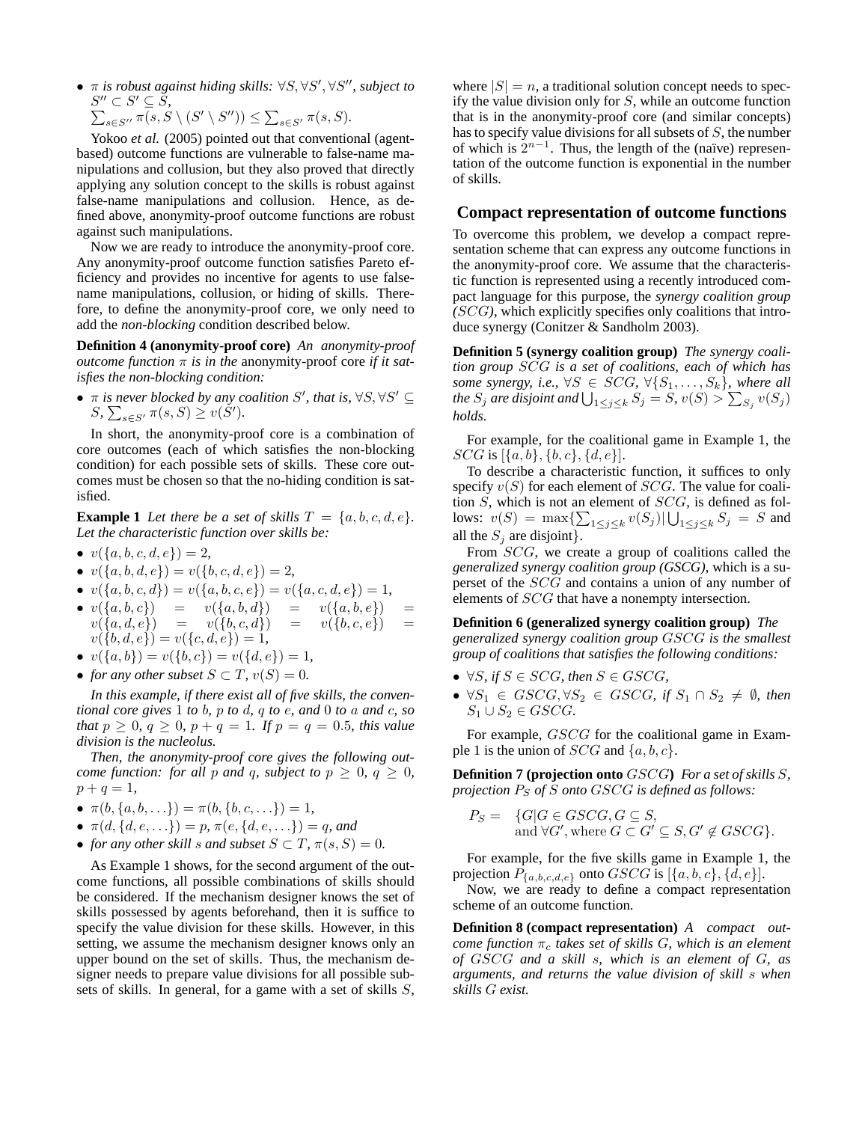• *π is robust against hiding skills:*  $\forall S, \forall S', \forall S'',$  *subject to*  $S'' \subset S' \subseteq \overline{S},$  $\subset S \subseteq S$ ,<br>  $s \in S''$ ,  $\pi(s, S \setminus (S' \setminus S'')) \leq \sum_{s \in S'} \pi(s, S)$ .

Yokoo *et al.* (2005) pointed out that conventional (agentbased) outcome functions are vulnerable to false-name manipulations and collusion, but they also proved that directly applying any solution concept to the skills is robust against false-name manipulations and collusion. Hence, as defined above, anonymity-proof outcome functions are robust against such manipulations.

Now we are ready to introduce the anonymity-proof core. Any anonymity-proof outcome function satisfies Pareto efficiency and provides no incentive for agents to use falsename manipulations, collusion, or hiding of skills. Therefore, to define the anonymity-proof core, we only need to add the *non-blocking* condition described below.

**Definition 4 (anonymity-proof core)** *An anonymity-proof outcome function*  $\pi$  *is in the anonymity-proof core if it satisfies the non-blocking condition:*

•  $\pi$  *is never blocked by any coalition* S', that is,  $\forall S, \forall S' \subseteq \pi$  $S, \sum_{s \in S'} \pi(s, S) \ge v(S').$ 

In short, the anonymity-proof core is a combination of core outcomes (each of which satisfies the non-blocking condition) for each possible sets of skills. These core outcomes must be chosen so that the no-hiding condition is satisfied.

**Example 1** Let there be a set of skills  $T = \{a, b, c, d, e\}.$ *Let the characteristic function over skills be:*

- $v(\{a, b, c, d, e\}) = 2$ ,
- $v(\{a, b, d, e\}) = v(\{b, c, d, e\}) = 2$
- $v(\{a, b, c, d\}) = v(\{a, b, c, e\}) = v(\{a, c, d, e\}) = 1,$
- $v(\{a, b, c\}) = v(\{a, b, d\}) = v(\{a, b, e\}) = v$  $v(\{a, d, e\}) = v(\{b, c, d\}) = v(\{b, c, e\}) =$  $v(\{b, d, e\}) = v(\{c, d, e\}) = 1,$
- $v({a, b}) = v({b, c}) = v({d, e}) = 1$ ,
- *for any other subset*  $S \subset T$ ,  $v(S) = 0$ .

*In this example, if there exist all of five skills, the conventional core gives* 1 *to* b*,* p *to* d*,* q *to* e*, and* 0 *to* a *and* c*, so that*  $p \ge 0$ *,*  $q \ge 0$ *,*  $p + q = 1$ *. If*  $p = q = 0.5$ *, this value division is the nucleolus.*

*Then, the anonymity-proof core gives the following outcome function: for all* p *and* q*, subject to*  $p \geq 0$ ,  $q \geq 0$ ,  $p + q = 1$ ,

- $\pi(b, \{a, b, \ldots\}) = \pi(b, \{b, c, \ldots\}) = 1,$
- $\pi(d, \{d, e, \ldots\}) = p, \pi(e, \{d, e, \ldots\}) = q$ , and
- *for any other skill s and subset*  $S \subset T$ ,  $\pi(s, S) = 0$ .

As Example 1 shows, for the second argument of the outcome functions, all possible combinations of skills should be considered. If the mechanism designer knows the set of skills possessed by agents beforehand, then it is suffice to specify the value division for these skills. However, in this setting, we assume the mechanism designer knows only an upper bound on the set of skills. Thus, the mechanism designer needs to prepare value divisions for all possible subsets of skills. In general, for a game with a set of skills S, where  $|S| = n$ , a traditional solution concept needs to specify the value division only for  $S$ , while an outcome function that is in the anonymity-proof core (and similar concepts) has to specify value divisions for all subsets of  $S$ , the number of which is  $2^{n-1}$ . Thus, the length of the (naïve) representation of the outcome function is exponential in the number of skills.

#### **Compact representation of outcome functions**

To overcome this problem, we develop a compact representation scheme that can express any outcome functions in the anonymity-proof core. We assume that the characteristic function is represented using a recently introduced compact language for this purpose, the *synergy coalition group (*SCG*)*, which explicitly specifies only coalitions that introduce synergy (Conitzer & Sandholm 2003).

**Definition 5 (synergy coalition group)** *The synergy coalition group* SCG *is a set of coalitions, each of which has some synergy, i.e.,*  $\forall S \in SCG, \forall \{S_1, \ldots, S_k\}$ *, where all some synergy, i.e.,*  $\forall S \in SCG, \ \forall \{S_1, \ldots, S_k\}$ , where all the  $S_j$  are disjoint and  $\bigcup_{1 \leq j \leq k} S_j = S$ ,  $v(S) > \sum_{S_j} v(S_j)$ *holds.*

For example, for the coalitional game in Example 1, the  $SCG$  is  $\{ \{a, b\}, \{b, c\}, \{d, e\}$ .

To describe a characteristic function, it suffices to only specify  $v(S)$  for each element of  $SCG$ . The value for coalition S, which is not an element of  $SCG$ , is defined as follows:  $v(S) = \max\{\sum_{1 \le j \le k} v(S_j) | \bigcup_{1 \le j \le k} S_j = S \text{ and }$ all the  $S_i$  are disjoint}.

From SCG, we create a group of coalitions called the *generalized synergy coalition group (GSCG)*, which is a superset of the SCG and contains a union of any number of elements of SCG that have a nonempty intersection.

**Definition 6 (generalized synergy coalition group)** *The generalized synergy coalition group* GSCG *is the smallest group of coalitions that satisfies the following conditions:*

- $\forall S, \text{ if } S \in SCG, \text{ then } S \in GSCG,$
- $\forall S_1 \in GSCG, \forall S_2 \in GSCG, \text{ if } S_1 \cap S_2 \neq \emptyset, \text{ then}$  $S_1 \cup S_2 \in GSCG$ .

For example, GSCG for the coalitional game in Example 1 is the union of  $SCG$  and  $\{a, b, c\}$ .

**Definition 7 (projection onto** GSCG**)** *For a set of skills* S*, projection* P<sup>S</sup> *of* S *onto* GSCG *is defined as follows:*

$$
P_S = \{G | G \in GSCG, G \subseteq S, \text{ and } \forall G', \text{where } G \subset G' \subseteq S, G' \notin GSCG\}.
$$

For example, for the five skills game in Example 1, the projection  $P_{\{a,b,c,d,e\}}$  onto  $GSCG$  is  $[\{a,b,c\},\{d,e\}].$ 

Now, we are ready to define a compact representation scheme of an outcome function.

**Definition 8 (compact representation)** *A compact outcome function*  $\pi_c$  *takes set of skills G, which is an element of* GSCG *and a skill* s*, which is an element of* G*, as arguments, and returns the value division of skill* s *when skills* G *exist.*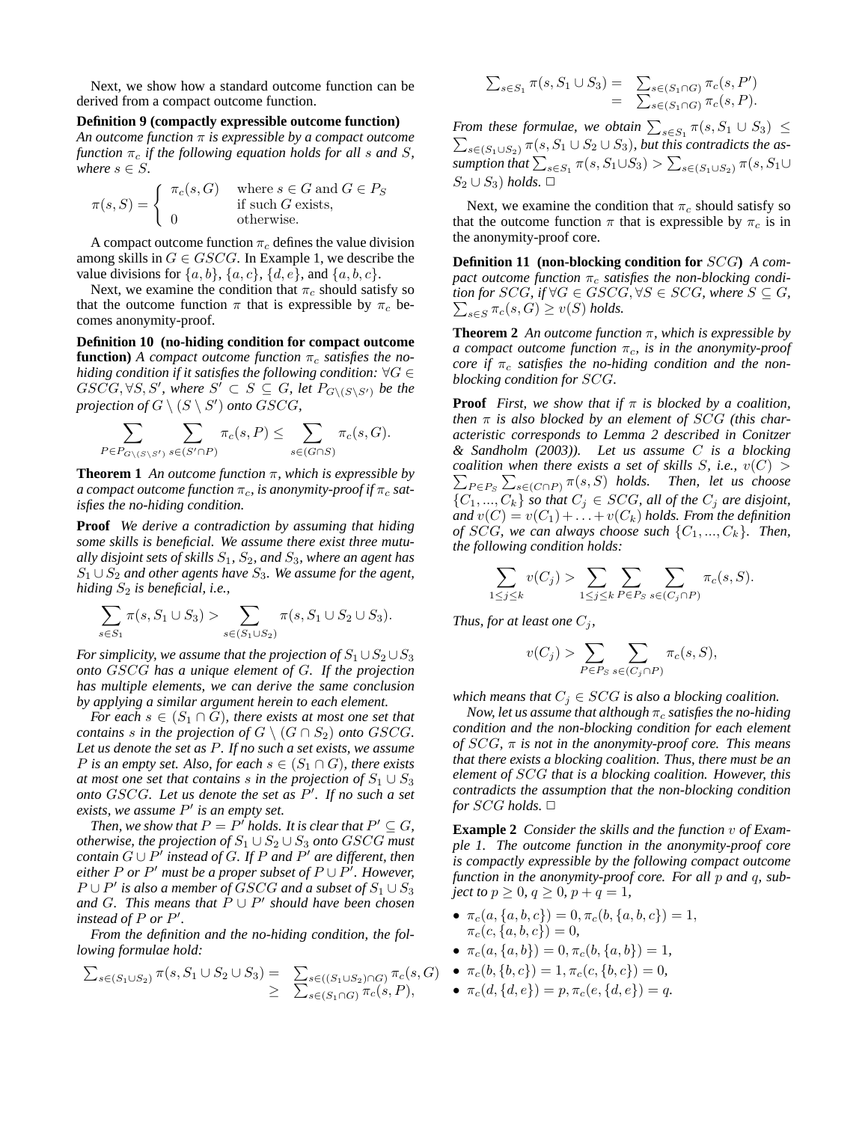Next, we show how a standard outcome function can be derived from a compact outcome function.

## **Definition 9 (compactly expressible outcome function)**

*An outcome function* π *is expressible by a compact outcome function*  $\pi_c$  *if the following equation holds for all s and S*, *where*  $s \in S$ *.* 

$$
\pi(s, S) = \begin{cases} \pi_c(s, G) & \text{where } s \in G \text{ and } G \in P_S \\ 0 & \text{if such } G \text{ exists,} \end{cases}
$$

A compact outcome function  $\pi_c$  defines the value division among skills in  $G \in GSCG$ . In Example 1, we describe the value divisions for  $\{a, b\}$ ,  $\{a, c\}$ ,  $\{d, e\}$ , and  $\{a, b, c\}$ .

Next, we examine the condition that  $\pi_c$  should satisfy so that the outcome function  $\pi$  that is expressible by  $\pi_c$  becomes anonymity-proof.

**Definition 10 (no-hiding condition for compact outcome function**) *A compact outcome function*  $\pi_c$  *satisfies the nohiding condition if it satisfies the following condition:* ∀G ∈  $GSCG, \forall S, S'$ , where  $S' \subset S \subseteq G$ , let  $P_{G \setminus (S \setminus S')}$  be the *projection of*  $G \setminus (S \setminus S')$  *onto GSCG*,

$$
\sum_{P \in P_{G \setminus (S \setminus S')}} \sum_{s \in (S' \cap P)} \pi_c(s,P) \leq \sum_{s \in (G \cap S)} \pi_c(s,G).
$$

**Theorem 1** *An outcome function* π*, which is expressible by a compact outcome function*  $\pi_c$ , *is anonymity-proof if*  $\pi_c$  *satisfies the no-hiding condition.*

**Proof** *We derive a contradiction by assuming that hiding some skills is beneficial. We assume there exist three mutually disjoint sets of skills*  $S_1$ ,  $S_2$ *, and*  $S_3$ *, where an agent has* S<sup>1</sup> ∪ S<sup>2</sup> *and other agents have* S3*. We assume for the agent, hiding*  $S_2$  *is beneficial, i.e.,* 

$$
\sum_{s \in S_1} \pi(s, S_1 \cup S_3) > \sum_{s \in (S_1 \cup S_2)} \pi(s, S_1 \cup S_2 \cup S_3).
$$

*For simplicity, we assume that the projection of*  $S_1 \cup S_2 \cup S_3$ *onto* GSCG *has a unique element of* G*. If the projection has multiple elements, we can derive the same conclusion by applying a similar argument herein to each element.*

*For each*  $s \in (S_1 \cap G)$ *, there exists at most one set that contains s in the projection of*  $G \setminus (G \cap S_2)$  *onto*  $GSCG$ *. Let us denote the set as* P*. If no such a set exists, we assume P* is an empty set. Also, for each  $s \in (S_1 \cap G)$ , there exists *at most one set that contains s in the projection of*  $S_1 \cup S_3$ *onto* GSCG*. Let us denote the set as* P 0 *. If no such a set*  $exists, we assume P' is an empty set.$ 

*Then, we show that*  $P = P^T$  *holds. It is clear that*  $P' \subseteq G$ *, otherwise, the projection of*  $S_1 \cup S_2 \cup S_3$  *onto* GSCG *must*  $\mathcal{L}$ *contain*  $G \cup P'$  *instead of*  $G$ *. If*  $P$  *and*  $P'$  *are different, then either* P or P' must be a proper subset of  $P \cup P'$ . However,  $P \cup P'$  is also a member of  $\widehat{GSCG}$  and a subset of  $S_1 \cup S_3$ and  $G$ . This means that  $P \cup P'$  should have been chosen *instead of*  $P$  *or*  $P'$ *.* 

*From the definition and the no-hiding condition, the following formulae hold:*

$$
\sum_{s \in (S_1 \cup S_2)} \pi(s, S_1 \cup S_2 \cup S_3) = \sum_{s \in ((S_1 \cup S_2) \cap G)} \pi_c(s, G)
$$
  
\n
$$
\geq \sum_{s \in (S_1 \cap G)} \pi_c(s, P),
$$

$$
\sum_{s \in S_1} \pi(s, S_1 \cup S_3) = \sum_{s \in (S_1 \cap G)} \pi_c(s, P')
$$
  
= 
$$
\sum_{s \in (S_1 \cap G)} \pi_c(s, P).
$$

From these formulae, we obtain  $\sum_{s \in S_1} \pi(s, S_1 \cup S_3) \leq$  $s \in (S_1 \cup S_2)$   $\pi(s, S_1 \cup S_2 \cup S_3)$ *, but this contradicts the as-* $\angle$ <sub>s∈(S<sub>1</sub>∪S<sub>2</sub>) <sup>*n*</sup>(3, *S*<sub>1</sub> ∪ *S*<sub>2</sub> ∪ *S*<sub>3</sub>), *but this contraint is the us-*<br>sumption that  $\sum_{s \in S_1}$  π(s, S<sub>1</sub>∪S<sub>3</sub>) >  $\sum_{s \in (S_1 \cup S_2)}$  π(s, S<sub>1</sub>∪</sub>  $S_2 \cup S_3$ *) holds*.  $\Box$ 

Next, we examine the condition that  $\pi_c$  should satisfy so that the outcome function  $\pi$  that is expressible by  $\pi_c$  is in the anonymity-proof core.

**Definition 11 (non-blocking condition for** SCG**)** *A compact outcome function*  $\pi_c$  *satisfies the non-blocking condi-* $\text{tion for } SCG, \text{ if } \forall G \in GSCG, \forall S \in SCG, \text{ where } S \subseteq G,$  $s \in S \pi_c(s, G) \ge v(S)$  *holds.* 

**Theorem 2** *An outcome function* π*, which is expressible by a compact outcome function*  $\pi_c$ *, is in the anonymity-proof core if*  $\pi_c$  *satisfies the no-hiding condition and the nonblocking condition for* SCG*.*

**Proof** *First, we show that if*  $\pi$  *is blocked by a coalition, then*  $\pi$  *is also blocked by an element of SCG (this characteristic corresponds to Lemma 2 described in Conitzer & Sandholm (2003)). Let us assume* C *is a blocking coalition when there exists a set of skills*  $S$ , *i.e.*,  $v(C) >$  $P \in P_S$   $\sum_{s \in (C \cap P)} \pi(s, S)$  *holds.* Then, let us choose  $\{C_1, ..., C_k\}$  *so that*  $C_j \in SCG$ *, all of the*  $C_j$  *are disjoint,* and  $v(C) = v(C_1) + \ldots + v(C_k)$  *holds. From the definition of* SCG, we can always choose such  $\{C_1, ..., C_k\}$ . Then, *the following condition holds:*

$$
\sum_{1 \le j \le k} v(C_j) > \sum_{1 \le j \le k} \sum_{P \in P_{S}} \sum_{s \in (C_j \cap P)} \pi_c(s, S).
$$

*Thus, for at least one*  $C_j$ *,* 

$$
v(C_j) > \sum_{P \in P_S} \sum_{s \in (C_j \cap P)} \pi_c(s, S),
$$

*which means that*  $C_j \in SCG$  *is also a blocking coalition.* 

*Now, let us assume that although*  $\pi_c$  *satisfies the no-hiding condition and the non-blocking condition for each element of* SCG*,* π *is not in the anonymity-proof core. This means that there exists a blocking coalition. Thus, there must be an element of* SCG *that is a blocking coalition. However, this contradicts the assumption that the non-blocking condition for SCG holds*.  $\Box$ 

**Example 2** *Consider the skills and the function* v *of Example 1. The outcome function in the anonymity-proof core is compactly expressible by the following compact outcome function in the anonymity-proof core. For all* p *and* q*, subject to*  $p \ge 0$ ,  $q \ge 0$ ,  $p + q = 1$ ,

- $\pi_c(a, \{a, b, c\}) = 0, \pi_c(b, \{a, b, c\}) = 1,$  $\pi_c(c, \{a, b, c\}) = 0,$
- $\pi_c(a, \{a, b\}) = 0, \pi_c(b, \{a, b\}) = 1,$
- $\bullet \ \pi_c(b, \{b, c\}) = 1, \pi_c(c, \{b, c\}) = 0,$
- $\pi_c(d, \{d, e\}) = p, \pi_c(e, \{d, e\}) = q.$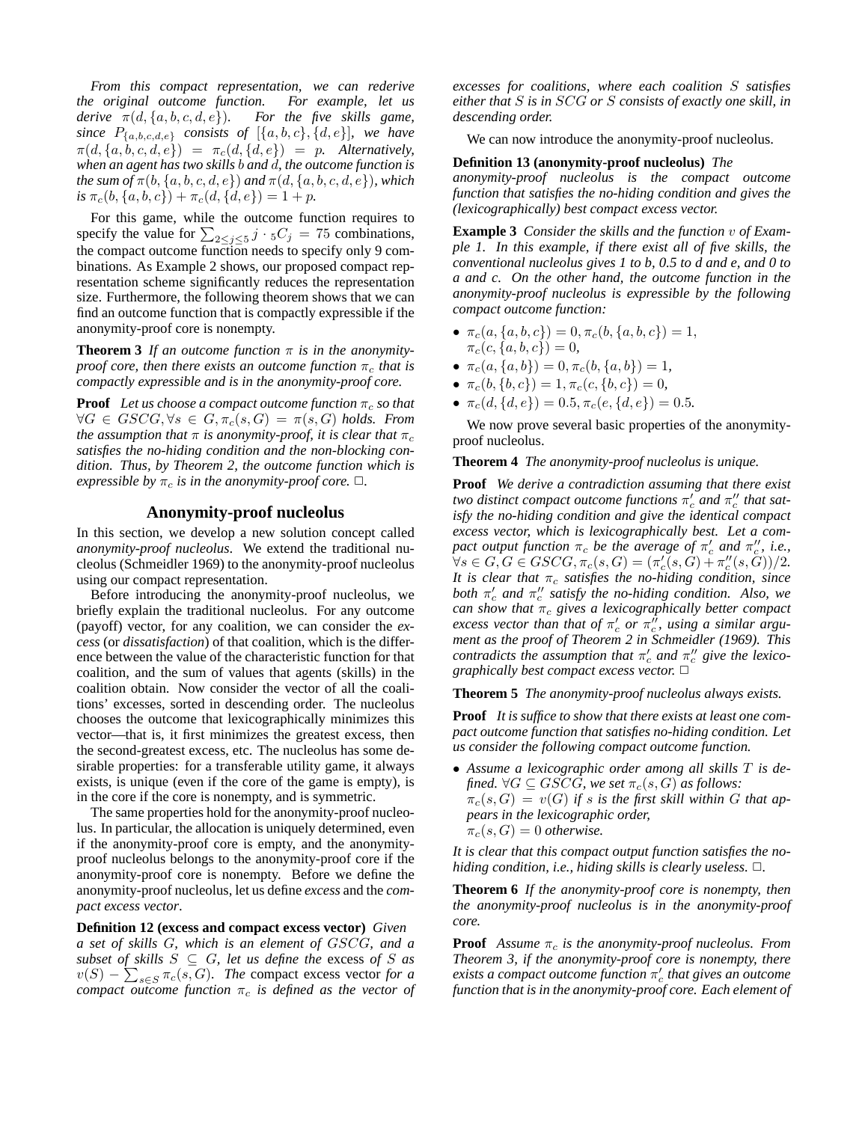*From this compact representation, we can rederive the original outcome function. For example, let us derive*  $\pi(d, \{a, b, c, d, e\})$ *. For the five skills game,* since  $P_{\{a,b,c,d,e\}}$  consists of  $[\{a,b,c\},\{d,e\}]$ *, we have*  $\pi(d, \{a, b, c, d, e\}) = \pi_c(d, \{d, e\}) = p$ . Alternatively, *when an agent has two skills* b *and* d*, the outcome function is the sum of*  $\pi(b, \{a, b, c, d, e\})$  *and*  $\pi(d, \{a, b, c, d, e\})$ *, which*  $is \pi_c(b, \{a, b, c\}) + \pi_c(d, \{d, e\}) = 1 + p.$ 

For this game, while the outcome function requires to For this game, while the outcome function requires to specify the value for  $\sum_{2 \leq j \leq 5} j \cdot 5C_j = 75$  combinations, the compact outcome function needs to specify only 9 combinations. As Example 2 shows, our proposed compact representation scheme significantly reduces the representation size. Furthermore, the following theorem shows that we can find an outcome function that is compactly expressible if the anonymity-proof core is nonempty.

**Theorem 3** *If an outcome function*  $\pi$  *is in the anonymityproof core, then there exists an outcome function*  $\pi_c$  *that is compactly expressible and is in the anonymity-proof core.*

**Proof** Let us choose a compact outcome function  $\pi_c$  so that  $\forall G \in GSCG, \forall s \in G, \pi_c(s, G) = \pi(s, G)$  holds. From *the assumption that*  $\pi$  *is anonymity-proof, it is clear that*  $\pi_c$ *satisfies the no-hiding condition and the non-blocking condition. Thus, by Theorem 2, the outcome function which is expressible by*  $\pi_c$  *is in the anonymity-proof core.*  $\Box$ *.* 

## **Anonymity-proof nucleolus**

In this section, we develop a new solution concept called *anonymity-proof nucleolus*. We extend the traditional nucleolus (Schmeidler 1969) to the anonymity-proof nucleolus using our compact representation.

Before introducing the anonymity-proof nucleolus, we briefly explain the traditional nucleolus. For any outcome (payoff) vector, for any coalition, we can consider the *excess* (or *dissatisfaction*) of that coalition, which is the difference between the value of the characteristic function for that coalition, and the sum of values that agents (skills) in the coalition obtain. Now consider the vector of all the coalitions' excesses, sorted in descending order. The nucleolus chooses the outcome that lexicographically minimizes this vector—that is, it first minimizes the greatest excess, then the second-greatest excess, etc. The nucleolus has some desirable properties: for a transferable utility game, it always exists, is unique (even if the core of the game is empty), is in the core if the core is nonempty, and is symmetric.

The same properties hold for the anonymity-proof nucleolus. In particular, the allocation is uniquely determined, even if the anonymity-proof core is empty, and the anonymityproof nucleolus belongs to the anonymity-proof core if the anonymity-proof core is nonempty. Before we define the anonymity-proof nucleolus, let us define *excess* and the *compact excess vector*.

**Definition 12 (excess and compact excess vector)** *Given a set of skills* G*, which is an element of* GSCG*, and a subset of skills*  $S \subseteq G$ *, let us define the excess of*  $S$  *as*  $v(S) - \sum_{s \in S} \pi_c(s, G)$ . The compact excess vector *for a compact outcome function*  $\pi_c$  *is defined as the vector of*  *excesses for coalitions, where each coalition* S *satisfies either that* S *is in* SCG *or* S *consists of exactly one skill, in descending order.*

We can now introduce the anonymity-proof nucleolus.

#### **Definition 13 (anonymity-proof nucleolus)** *The*

*anonymity-proof nucleolus is the compact outcome function that satisfies the no-hiding condition and gives the (lexicographically) best compact excess vector.*

**Example 3** *Consider the skills and the function* v *of Example 1. In this example, if there exist all of five skills, the conventional nucleolus gives 1 to b, 0.5 to d and e, and 0 to a and c. On the other hand, the outcome function in the anonymity-proof nucleolus is expressible by the following compact outcome function:*

- $\pi_c(a, \{a, b, c\}) = 0, \pi_c(b, \{a, b, c\}) = 1,$  $\pi_c(c, \{a, b, c\}) = 0,$
- $\bullet \ \pi_c(a, \{a, b\}) = 0, \pi_c(b, \{a, b\}) = 1,$
- $\pi_c(b, \{b, c\}) = 1, \pi_c(c, \{b, c\}) = 0,$
- $\pi_c(d, \{d, e\}) = 0.5, \pi_c(e, \{d, e\}) = 0.5.$

We now prove several basic properties of the anonymityproof nucleolus.

**Theorem 4** *The anonymity-proof nucleolus is unique.*

**Proof** *We derive a contradiction assuming that there exist two distinct compact outcome functions*  $\pi_c'$  *and*  $\pi_c''$  *that satisfy the no-hiding condition and give the identical compact excess vector, which is lexicographically best. Let a compact output function*  $\pi_c$  *be the average of*  $\pi_c'$  *and*  $\pi_c''$ *, i.e.,*  $\forall s \in G, G \in GSCG, \pi_c(s, G) = (\pi_c'(s, G) + \pi_c''(s, G))/2.$ *It is clear that*  $\pi_c$  *satisfies the no-hiding condition, since both*  $\pi_c'$  *and*  $\pi_c''$  *satisfy the no-hiding condition. Also, we can show that*  $\pi_c$  *gives a lexicographically better compact excess vector than that of*  $\pi_c$  *or*  $\pi_c^0$ , *using a similar argument as the proof of Theorem 2 in Schmeidler (1969). This contradicts the assumption that*  $\pi_c$  *and*  $\pi_c$  *give the lexicographically best compact excess vector.* ✷

**Theorem 5** *The anonymity-proof nucleolus always exists.*

**Proof** *It is suffice to show that there exists at least one compact outcome function that satisfies no-hiding condition. Let us consider the following compact outcome function.*

• *Assume a lexicographic order among all skills* T *is defined.*  $\forall G \subseteq GSCG$ *, we set*  $\pi_c(s, G)$  *as follows:*  $\pi_c(s, G) = v(G)$  if s is the first skill within G that ap*pears in the lexicographic order,*  $\pi_c(s, G) = 0$  *otherwise.* 

*It is clear that this compact output function satisfies the nohiding condition, i.e., hiding skills is clearly useless.*  $\Box$ .

**Theorem 6** *If the anonymity-proof core is nonempty, then the anonymity-proof nucleolus is in the anonymity-proof core.*

**Proof** *Assume*  $\pi_c$  *is the anonymity-proof nucleolus. From Theorem 3, if the anonymity-proof core is nonempty, there exists a compact outcome function* π 0 c *that gives an outcome function that is in the anonymity-proof core. Each element of*